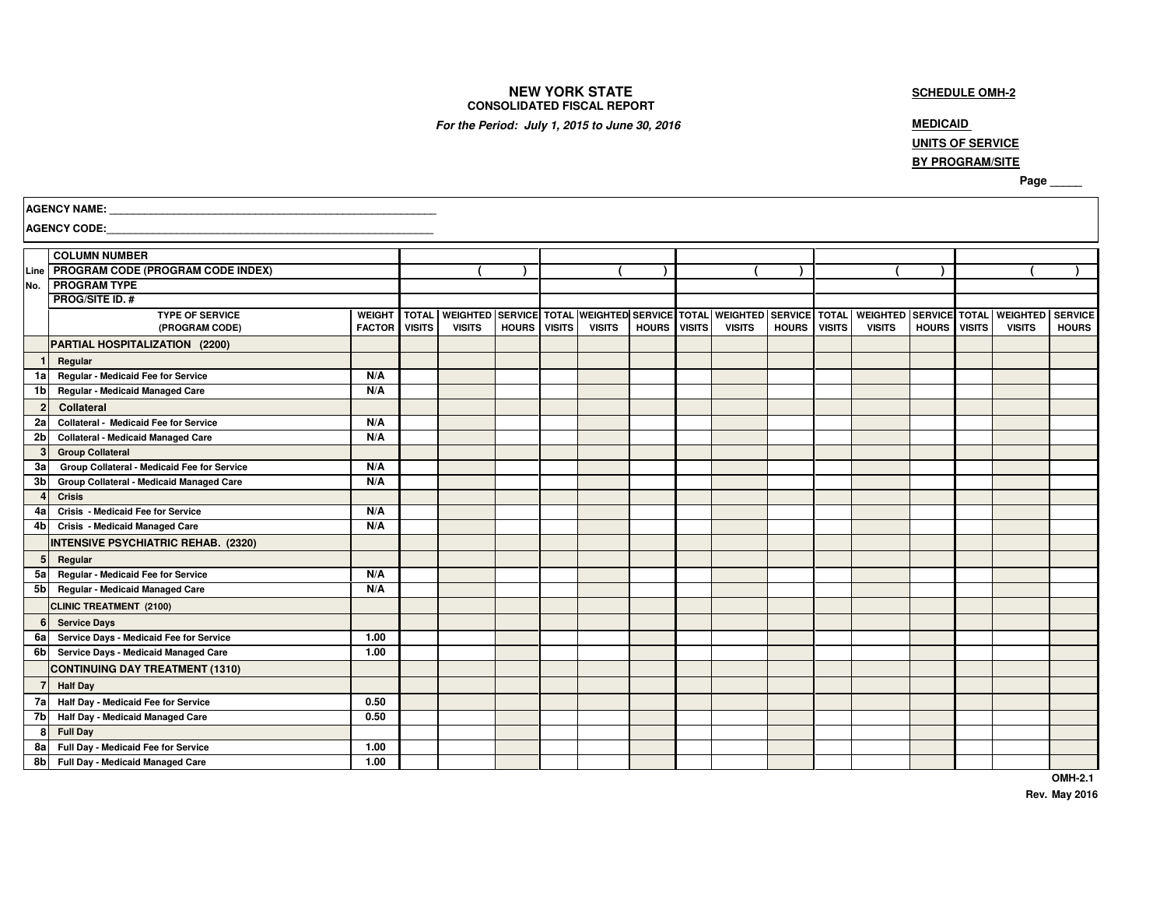## **NEW YORK STATE CONSOLIDATED FISCAL REPORT**

## **SCHEDULE OMH-2**

**For the Period: July 1, 2015 to June 30, 2016** *MEDICAID* 

# **UNITS OF SERVICE**

## **BY PROGRAM/SITE**

**Page \_\_\_\_\_** 

|                | <b>AGENCY NAME:</b><br><b>AGENCY CODE:</b>  |               |               |               |              |  |               |                     |  |                                                                      |              |               |                               |              |  |                 |                |  |
|----------------|---------------------------------------------|---------------|---------------|---------------|--------------|--|---------------|---------------------|--|----------------------------------------------------------------------|--------------|---------------|-------------------------------|--------------|--|-----------------|----------------|--|
|                |                                             |               |               |               |              |  |               |                     |  |                                                                      |              |               |                               |              |  |                 |                |  |
|                | <b>COLUMN NUMBER</b>                        |               |               |               |              |  |               |                     |  |                                                                      |              |               |                               |              |  |                 |                |  |
|                | Line   PROGRAM CODE (PROGRAM CODE INDEX)    |               |               |               |              |  |               |                     |  |                                                                      |              |               |                               |              |  |                 |                |  |
| No.            | <b>PROGRAM TYPE</b>                         |               |               |               |              |  |               |                     |  |                                                                      |              |               |                               |              |  |                 |                |  |
|                | <b>PROG/SITE ID. #</b>                      |               |               |               |              |  |               |                     |  |                                                                      |              |               |                               |              |  |                 |                |  |
|                | <b>TYPE OF SERVICE</b>                      | <b>WEIGHT</b> | I TOTAL       |               |              |  |               |                     |  | WEIGHTED SERVICE TOTAL WEIGHTED SERVICE TOTAL WEIGHTED SERVICE TOTAL |              |               | <b>WEIGHTED SERVICE TOTAL</b> |              |  | <b>WEIGHTED</b> | <b>SERVICE</b> |  |
|                | (PROGRAM CODE)                              | <b>FACTOR</b> | <b>VISITS</b> | <b>VISITS</b> | HOURS VISITS |  | <b>VISITS</b> | <b>HOURS</b> VISITS |  | <b>VISITS</b>                                                        | <b>HOURS</b> | <b>VISITS</b> | <b>VISITS</b>                 | HOURS VISITS |  | <b>VISITS</b>   | <b>HOURS</b>   |  |
|                | PARTIAL HOSPITALIZATION (2200)              |               |               |               |              |  |               |                     |  |                                                                      |              |               |                               |              |  |                 |                |  |
| 1              | Regular                                     |               |               |               |              |  |               |                     |  |                                                                      |              |               |                               |              |  |                 |                |  |
| 1al            | Regular - Medicaid Fee for Service          | N/A           |               |               |              |  |               |                     |  |                                                                      |              |               |                               |              |  |                 |                |  |
| 1 <sub>b</sub> | <b>Regular - Medicaid Managed Care</b>      | N/A           |               |               |              |  |               |                     |  |                                                                      |              |               |                               |              |  |                 |                |  |
| $\mathbf{2}$   | Collateral                                  |               |               |               |              |  |               |                     |  |                                                                      |              |               |                               |              |  |                 |                |  |
| 2al            | Collateral - Medicaid Fee for Service       | N/A           |               |               |              |  |               |                     |  |                                                                      |              |               |                               |              |  |                 |                |  |
| 2 <sub>b</sub> | <b>Collateral - Medicaid Managed Care</b>   | N/A           |               |               |              |  |               |                     |  |                                                                      |              |               |                               |              |  |                 |                |  |
| 3 <sub>l</sub> | <b>Group Collateral</b>                     |               |               |               |              |  |               |                     |  |                                                                      |              |               |                               |              |  |                 |                |  |
| 3a             | Group Collateral - Medicaid Fee for Service | N/A           |               |               |              |  |               |                     |  |                                                                      |              |               |                               |              |  |                 |                |  |
| 3 <sub>b</sub> | Group Collateral - Medicaid Managed Care    | N/A           |               |               |              |  |               |                     |  |                                                                      |              |               |                               |              |  |                 |                |  |
| $\overline{4}$ | <b>Crisis</b>                               |               |               |               |              |  |               |                     |  |                                                                      |              |               |                               |              |  |                 |                |  |
| 4a             | Crisis - Medicaid Fee for Service           | N/A           |               |               |              |  |               |                     |  |                                                                      |              |               |                               |              |  |                 |                |  |
| 4 <sub>b</sub> | Crisis - Medicaid Managed Care              | N/A           |               |               |              |  |               |                     |  |                                                                      |              |               |                               |              |  |                 |                |  |
|                | <b>INTENSIVE PSYCHIATRIC REHAB. (2320)</b>  |               |               |               |              |  |               |                     |  |                                                                      |              |               |                               |              |  |                 |                |  |
| 5              | Regular                                     |               |               |               |              |  |               |                     |  |                                                                      |              |               |                               |              |  |                 |                |  |
| 5al            | Regular - Medicaid Fee for Service          | N/A           |               |               |              |  |               |                     |  |                                                                      |              |               |                               |              |  |                 |                |  |
| 5 <sub>b</sub> | <b>Regular - Medicaid Managed Care</b>      | N/A           |               |               |              |  |               |                     |  |                                                                      |              |               |                               |              |  |                 |                |  |
|                | <b>CLINIC TREATMENT (2100)</b>              |               |               |               |              |  |               |                     |  |                                                                      |              |               |                               |              |  |                 |                |  |
| 6 <sup>1</sup> | <b>Service Days</b>                         |               |               |               |              |  |               |                     |  |                                                                      |              |               |                               |              |  |                 |                |  |
| 6a             | Service Days - Medicaid Fee for Service     | 1.00          |               |               |              |  |               |                     |  |                                                                      |              |               |                               |              |  |                 |                |  |
| 6bl            | Service Days - Medicaid Managed Care        | 1.00          |               |               |              |  |               |                     |  |                                                                      |              |               |                               |              |  |                 |                |  |
|                | <b>CONTINUING DAY TREATMENT (1310)</b>      |               |               |               |              |  |               |                     |  |                                                                      |              |               |                               |              |  |                 |                |  |
| $\overline{7}$ | <b>Half Day</b>                             |               |               |               |              |  |               |                     |  |                                                                      |              |               |                               |              |  |                 |                |  |
| 7al            | Half Day - Medicaid Fee for Service         | 0.50          |               |               |              |  |               |                     |  |                                                                      |              |               |                               |              |  |                 |                |  |
| 7b             | Half Day - Medicaid Managed Care            | 0.50          |               |               |              |  |               |                     |  |                                                                      |              |               |                               |              |  |                 |                |  |
| 8              | <b>Full Day</b>                             |               |               |               |              |  |               |                     |  |                                                                      |              |               |                               |              |  |                 |                |  |
| 8a             | Full Day - Medicaid Fee for Service         | 1.00          |               |               |              |  |               |                     |  |                                                                      |              |               |                               |              |  |                 |                |  |
| 8b             | Full Day - Medicaid Managed Care            | 1.00          |               |               |              |  |               |                     |  |                                                                      |              |               |                               |              |  |                 |                |  |